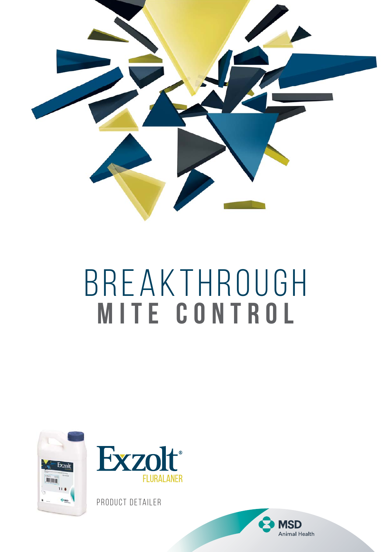

# BREAKTHROUGH **Mite control**





PRODUCT DETAILER

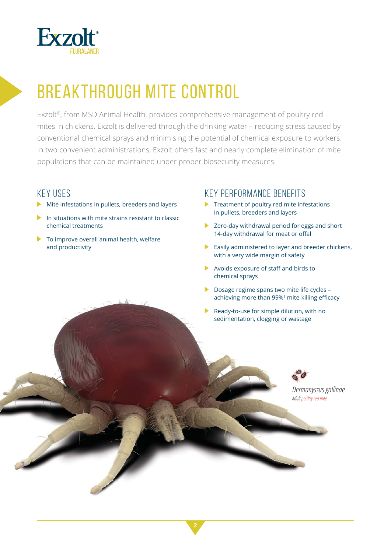

### BREAKTHROUGH MITE CONTROL

Exzolt®, from MSD Animal Health, provides comprehensive management of poultry red mites in chickens. Exzolt is delivered through the drinking water – reducing stress caused by conventional chemical sprays and minimising the potential of chemical exposure to workers. In two convenient administrations, Exzolt offers fast and nearly complete elimination of mite populations that can be maintained under proper biosecurity measures.

#### KEY USES

- Mite infestations in pullets, breeders and layers
- In situations with mite strains resistant to classic chemical treatments
- $\blacktriangleright$  To improve overall animal health, welfare and productivity

#### KEY PERFORMANCE BENEFITS

- $\blacktriangleright$  Treatment of poultry red mite infestations in pullets, breeders and layers
- ▶ Zero-day withdrawal period for eggs and short 14-day withdrawal for meat or offal
- $\blacktriangleright$  Easily administered to layer and breeder chickens, with a very wide margin of safety
- Avoids exposure of staff and birds to chemical sprays
- ▶ Dosage regime spans two mite life cycles achieving more than 99%<sup>1</sup> mite-killing efficacy
- Ready-to-use for simple dilution, with no sedimentation, clogging or wastage

*Dermanyssus gallinae Adult poultry red mite*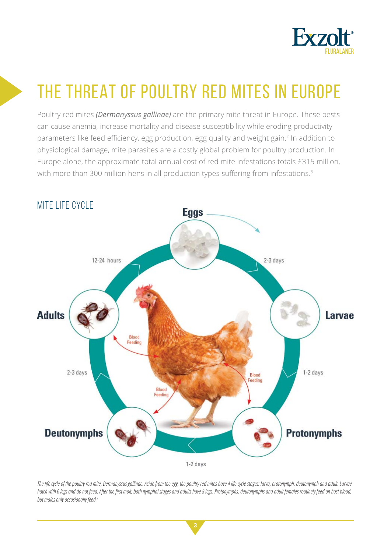

### THE THREAT OF POULTRY RED MITES IN EUROPE

Poultry red mites *(Dermanyssus gallinae)* are the primary mite threat in Europe. These pests can cause anemia, increase mortality and disease susceptibility while eroding productivity parameters like feed efficiency, egg production, egg quality and weight gain.<sup>2</sup> In addition to physiological damage, mite parasites are a costly global problem for poultry production. In Europe alone, the approximate total annual cost of red mite infestations totals £315 million, with more than 300 million hens in all production types suffering from infestations.<sup>3</sup>



The life cycle of the poultry red mite, Dermanyssus gallinae. Aside from the egg, the poultry red mites have 4 life cycle stages: larva, protonymph, deutonymph and adult. Larvae hatch with 6 legs and do not feed. After the first molt, both nymphal stages and adults have 8 legs. Protonymphs, deutonymphs and adult females routinely feed on host blood, *but males only occasionally feed.2*

**3**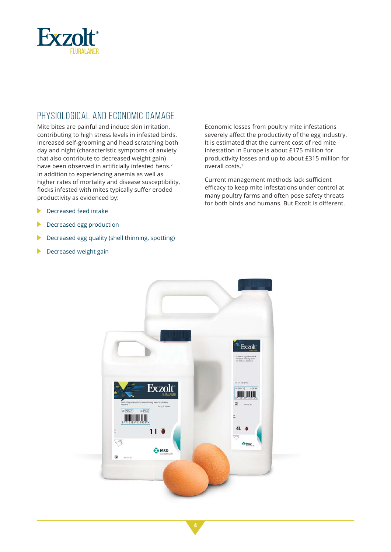

#### PHYSIOLOGICAL AND ECONOMIC DAMAGE

Mite bites are painful and induce skin irritation, contributing to high stress levels in infested birds. Increased self-grooming and head scratching both day and night (characteristic symptoms of anxiety that also contribute to decreased weight gain) have been observed in artificially infested hens.<sup>2</sup> In addition to experiencing anemia as well as higher rates of mortality and disease susceptibility, flocks infested with mites typically suffer eroded productivity as evidenced by:

- **Decreased feed intake**
- Decreased egg production
- Decreased egg quality (shell thinning, spotting)
- Decreased weight gain

Economic losses from poultry mite infestations severely affect the productivity of the egg industry. It is estimated that the current cost of red mite infestation in Europe is about £175 million for productivity losses and up to about £315 million for overall costs.3

Current management methods lack sufficient efficacy to keep mite infestations under control at many poultry farms and often pose safety threats for both birds and humans. But Exzolt is different.

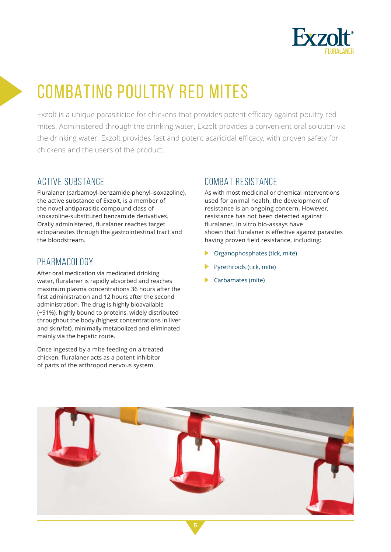

### COMBATING POULTRY RED MITES

Exzolt is a unique parasiticide for chickens that provides potent efficacy against poultry red mites. Administered through the drinking water, Exzolt provides a convenient oral solution via the drinking water. Exzolt provides fast and potent acaricidal efficacy, with proven safety for chickens and the users of the product.

#### ACTIVE SUBSTANCE

Fluralaner (carbamoyl-benzamide-phenyl-isoxazoline), the active substance of Exzolt, is a member of the novel antiparasitic compound class of isoxazoline-substituted benzamide derivatives. Orally administered, fluralaner reaches target ectoparasites through the gastrointestinal tract and the bloodstream.

#### PHARMACOLOGY

After oral medication via medicated drinking water, fluralaner is rapidly absorbed and reaches maximum plasma concentrations 36 hours after the first administration and 12 hours after the second administration. The drug is highly bioavailable (~91%), highly bound to proteins, widely distributed throughout the body (highest concentrations in liver and skin/fat), minimally metabolized and eliminated mainly via the hepatic route.

Once ingested by a mite feeding on a treated chicken, fluralaner acts as a potent inhibitor of parts of the arthropod nervous system.

#### COMBAT RESISTANCE

As with most medicinal or chemical interventions used for animal health, the development of resistance is an ongoing concern. However, resistance has not been detected against fluralaner. In vitro bio-assays have shown that fluralaner is effective against parasites having proven field resistance, including:

- ▶ Organophosphates (tick, mite)
- Pyrethroids (tick, mite)
- Carbamates (mite)

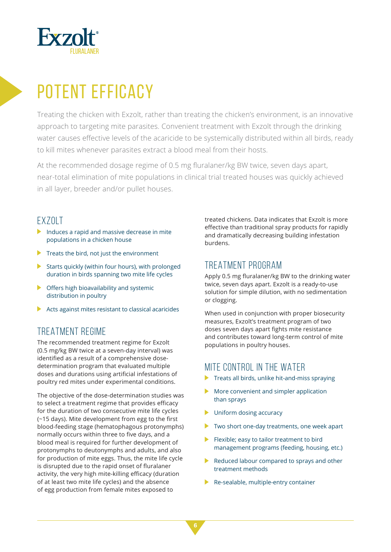

### POTENT EFFICACY

Treating the chicken with Exzolt, rather than treating the chicken's environment, is an innovative approach to targeting mite parasites. Convenient treatment with Exzolt through the drinking water causes effective levels of the acaricide to be systemically distributed within all birds, ready to kill mites whenever parasites extract a blood meal from their hosts.

At the recommended dosage regime of 0.5 mg fluralaner/kg BW twice, seven days apart, near-total elimination of mite populations in clinical trial treated houses was quickly achieved in all layer, breeder and/or pullet houses.

#### EXZOLT

- Induces a rapid and massive decrease in mite populations in a chicken house
- Treats the bird, not just the environment
- Starts quickly (within four hours), with prolonged duration in birds spanning two mite life cycles
- $\triangleright$  Offers high bioavailability and systemic distribution in poultry
- $\blacktriangleright$  Acts against mites resistant to classical acaricides

#### TREATMENT REGIME

The recommended treatment regime for Exzolt (0.5 mg/kg BW twice at a seven-day interval) was identified as a result of a comprehensive dosedetermination program that evaluated multiple doses and durations using artificial infestations of poultry red mites under experimental conditions.

The objective of the dose-determination studies was to select a treatment regime that provides efficacy for the duration of two consecutive mite life cycles (~15 days). Mite development from egg to the first blood-feeding stage (hematophagous protonymphs) normally occurs within three to five days, and a blood meal is required for further development of protonymphs to deutonymphs and adults, and also for production of mite eggs. Thus, the mite life cycle is disrupted due to the rapid onset of fluralaner activity, the very high mite-killing efficacy (duration of at least two mite life cycles) and the absence of egg production from female mites exposed to

treated chickens. Data indicates that Exzolt is more effective than traditional spray products for rapidly and dramatically decreasing building infestation burdens.

#### TREATMENT PROGRAM

Apply 0.5 mg fluralaner/kg BW to the drinking water twice, seven days apart. Exzolt is a ready-to-use solution for simple dilution, with no sedimentation or clogging.

When used in conjunction with proper biosecurity measures, Exzolt's treatment program of two doses seven days apart fights mite resistance and contributes toward long-term control of mite populations in poultry houses.

#### MITE CONTROL IN THE WATER

- $\blacktriangleright$  Treats all birds, unlike hit-and-miss spraying
- $\blacktriangleright$  More convenient and simpler application than sprays
- $\blacktriangleright$  Uniform dosing accuracy
- ▶ Two short one-day treatments, one week apart
- Flexible; easy to tailor treatment to bird management programs (feeding, housing, etc.)
- $\blacktriangleright$  Reduced labour compared to sprays and other treatment methods
- Re-sealable, multiple-entry container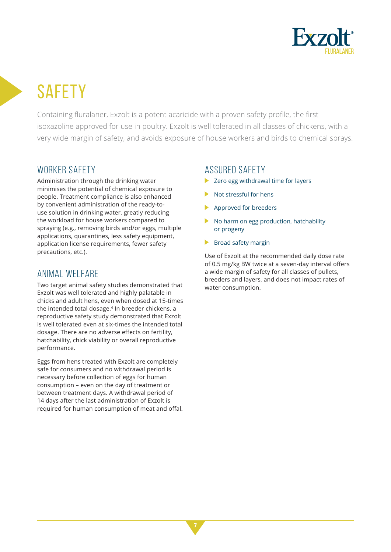

# **SAFFTY**

Containing fluralaner, Exzolt is a potent acaricide with a proven safety profile, the first isoxazoline approved for use in poultry. Exzolt is well tolerated in all classes of chickens, with a very wide margin of safety, and avoids exposure of house workers and birds to chemical sprays.

#### WORKER SAFETY

Administration through the drinking water minimises the potential of chemical exposure to people. Treatment compliance is also enhanced by convenient administration of the ready-touse solution in drinking water, greatly reducing the workload for house workers compared to spraying (e.g., removing birds and/or eggs, multiple applications, quarantines, less safety equipment, application license requirements, fewer safety precautions, etc.).

#### ANIMAL WELFARE

Two target animal safety studies demonstrated that Exzolt was well tolerated and highly palatable in chicks and adult hens, even when dosed at 15-times the intended total dosage.<sup>4</sup> In breeder chickens, a reproductive safety study demonstrated that Exzolt is well tolerated even at six-times the intended total dosage. There are no adverse effects on fertility. hatchability, chick viability or overall reproductive performance.

Eggs from hens treated with Exzolt are completely safe for consumers and no withdrawal period is necessary before collection of eggs for human consumption – even on the day of treatment or between treatment days. A withdrawal period of 14 days after the last administration of Exzolt is required for human consumption of meat and offal.

#### ASSURED SAFETY

- ▶ Zero egg withdrawal time for layers
- Not stressful for hens
- Approved for breeders
- No harm on egg production, hatchability or progeny
- Broad safety margin

Use of Exzolt at the recommended daily dose rate of 0.5 mg/kg BW twice at a seven-day interval offers a wide margin of safety for all classes of pullets, breeders and layers, and does not impact rates of water consumption.

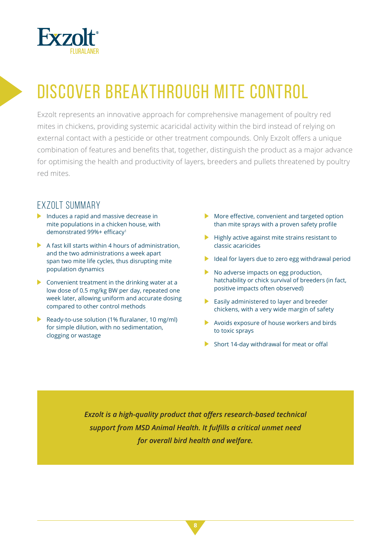

## DISCOVER BREAKTHROUGH MITE CONTROL

Exzolt represents an innovative approach for comprehensive management of poultry red mites in chickens, providing systemic acaricidal activity within the bird instead of relying on external contact with a pesticide or other treatment compounds. Only Exzolt offers a unique combination of features and benefits that, together, distinguish the product as a major advance for optimising the health and productivity of layers, breeders and pullets threatened by poultry red mites.

#### EXZOLT SUMMARY

- Induces a rapid and massive decrease in mite populations in a chicken house, with demonstrated 99%+ efficacy<sup>1</sup>
- $\blacktriangleright$  A fast kill starts within 4 hours of administration, and the two administrations a week apart span two mite life cycles, thus disrupting mite population dynamics
- $\triangleright$  Convenient treatment in the drinking water at a low dose of 0.5 mg/kg BW per day, repeated one week later, allowing uniform and accurate dosing compared to other control methods
- Ready-to-use solution (1% fluralaner, 10 mg/ml) for simple dilution, with no sedimentation, clogging or wastage
- $\blacktriangleright$  More effective, convenient and targeted option than mite sprays with a proven safety profile
- $\blacktriangleright$  Highly active against mite strains resistant to classic acaricides
- Ideal for layers due to zero egg withdrawal period
- No adverse impacts on egg production, hatchability or chick survival of breeders (in fact, positive impacts often observed)
- Easily administered to layer and breeder chickens, with a very wide margin of safety
- Avoids exposure of house workers and birds to toxic sprays
- Short 14-day withdrawal for meat or offal

**Exzolt is a high-quality product that offers research-based technical support from MSD Animal Health. It fulfills a critical unmet need** *for overall bird health and welfare.*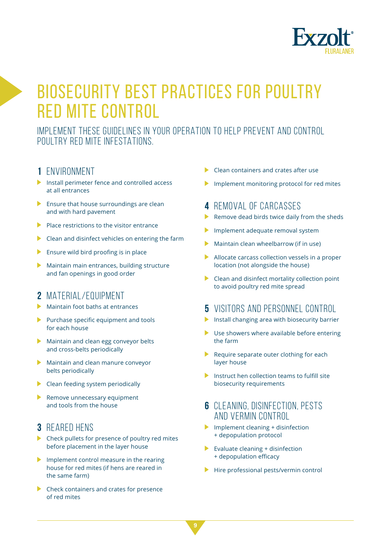

### BIOSECURITY BEST PRACTICES FOR POULTRY RED MITE CONTROL

IMPLEMENT THESE GUIDELINES IN YOUR OPERATION TO HELP PREVENT AND CONTROL POULTRY RED MITE INFESTATIONS.

#### **1** ENVIRONMENT

- $\blacktriangleright$  Install perimeter fence and controlled access at all entrances
- $\blacktriangleright$  Ensure that house surroundings are clean and with hard pavement
- $\blacktriangleright$  Place restrictions to the visitor entrance
- $\triangleright$  Clean and disinfect vehicles on entering the farm
- $\blacktriangleright$  Ensure wild bird proofing is in place
- $\blacktriangleright$  Maintain main entrances, building structure and fan openings in good order

#### **2** MATERIAL/EQUIPMENT

- Maintain foot baths at entrances
- Purchase specific equipment and tools for each house
- Maintain and clean egg conveyor belts and cross-belts periodically
- Maintain and clean manure conveyor belts periodically
- $\blacktriangleright$  Clean feeding system periodically
- Remove unnecessary equipment and tools from the house

#### **3** REARED HENS

- Check pullets for presence of poultry red mites before placement in the layer house
- Implement control measure in the rearing house for red mites (if hens are reared in the same farm)
- ▶ Check containers and crates for presence of red mites
- Clean containers and crates after use
- Implement monitoring protocol for red mites

#### **4** REMOVAL OF CARCASSES

- $\blacktriangleright$  Remove dead birds twice daily from the sheds
- Implement adequate removal system
- $\blacktriangleright$  Maintain clean wheelbarrow (if in use)
- Allocate carcass collection vessels in a proper location (not alongside the house)
- $\triangleright$  Clean and disinfect mortality collection point to avoid poultry red mite spread

#### **5** VISITORS AND PERSONNEL CONTROL

- Install changing area with biosecurity barrier
- $\blacktriangleright$  Use showers where available before entering the farm
- Require separate outer clothing for each layer house
- Instruct hen collection teams to fulfill site biosecurity requirements

#### **6** CLEANING, DISINFECTION, PESTS AND VERMIN CONTROL

- Implement cleaning  $+$  disinfection + depopulation protocol
- Evaluate cleaning  $+$  disinfection + depopulation efficacy
- $\blacktriangleright$  Hire professional pests/vermin control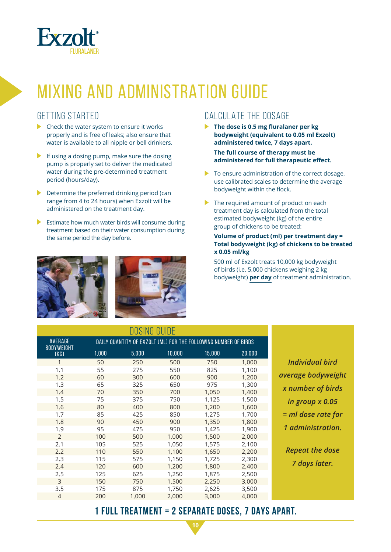

### MIXING AND ADMINISTRATION GUIDE

#### GETTING STARTED

- $\blacktriangleright$  Check the water system to ensure it works properly and is free of leaks; also ensure that water is available to all nipple or bell drinkers.
- If using a dosing pump, make sure the dosing pump is properly set to deliver the medicated water during the pre-determined treatment period (hours/day).
- $\blacktriangleright$  Determine the preferred drinking period (can range from 4 to 24 hours) when Exzolt will be administered on the treatment day.
- $\blacktriangleright$  Estimate how much water birds will consume during treatment based on their water consumption during the same period the day before.



#### CALCULATE THE DOSAGE

- **The dose is 0.5 mg fluralaner per kg bodyweight (equivalent to 0.05 ml Exzolt) administered twice, 7 days apart. The full course of therapy must be administered for full therapeutic eff ect.**
- $\blacktriangleright$  To ensure administration of the correct dosage, use calibrated scales to determine the average bodyweight within the flock.
- ▶ The required amount of product on each treatment day is calculated from the total estimated bodyweight (kg) of the entire group of chickens to be treated:

#### **Volume of product (ml) per treatment day = Total bodyweight (kg) of chickens to be treated x 0.05 ml/kg**

 500 ml of Exzolt treats 10,000 kg bodyweight of birds (i.e. 5,000 chickens weighing 2 kg bodyweight) **per day** of treatment administration.

| DOSING GUIDE              |                                                                 |       |        |        |        |
|---------------------------|-----------------------------------------------------------------|-------|--------|--------|--------|
| AVERAGE                   | DAILY QUANTITY OF EXZOLT (ML) FOR THE FOLLOWING NUMBER OF BIRDS |       |        |        |        |
| <b>BODYWEIGHT</b><br>(KG) | 1,000                                                           | 5,000 | 10,000 | 15,000 | 20,000 |
| $\mathbf{1}$              | 50                                                              | 250   | 500    | 750    | 1,000  |
| 1.1                       | 55                                                              | 275   | 550    | 825    | 1,100  |
| 1.2                       | 60                                                              | 300   | 600    | 900    | 1,200  |
| 1.3                       | 65                                                              | 325   | 650    | 975    | 1,300  |
| 1.4                       | 70                                                              | 350   | 700    | 1,050  | 1,400  |
| 1.5                       | 75                                                              | 375   | 750    | 1,125  | 1,500  |
| 1.6                       | 80                                                              | 400   | 800    | 1,200  | 1,600  |
| 1.7                       | 85                                                              | 425   | 850    | 1,275  | 1,700  |
| 1.8                       | 90                                                              | 450   | 900    | 1,350  | 1,800  |
| 1.9                       | 95                                                              | 475   | 950    | 1,425  | 1,900  |
| $\mathcal{P}$             | 100                                                             | 500   | 1,000  | 1,500  | 2,000  |
| 2.1                       | 105                                                             | 525   | 1,050  | 1,575  | 2,100  |
| 2.2                       | 110                                                             | 550   | 1,100  | 1,650  | 2,200  |
| 2.3                       | 115                                                             | 575   | 1,150  | 1,725  | 2,300  |
| 2.4                       | 120                                                             | 600   | 1,200  | 1,800  | 2,400  |
| 2.5                       | 125                                                             | 625   | 1,250  | 1,875  | 2,500  |
| 3                         | 150                                                             | 750   | 1,500  | 2,250  | 3,000  |
| 3.5                       | 175                                                             | 875   | 1,750  | 2,625  | 3,500  |
| $\overline{4}$            | 200                                                             | 1,000 | 2,000  | 3,000  | 4,000  |

*Individual bird average bodyweight x number of birds in group x 0.05 = ml dose rate for 1 administration.*

*Repeat the dose 7 days later.*

#### **1 FULL TREATMENT = 2 SEPARATE DOSES, 7 DAYS APART.**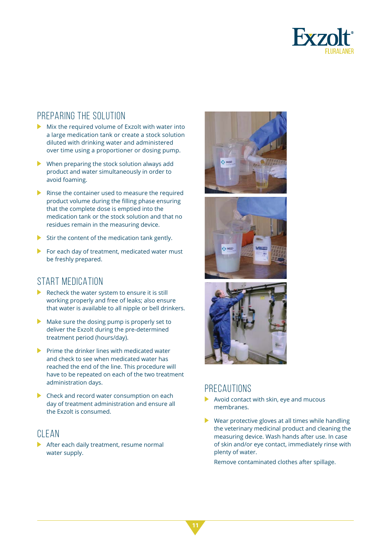

#### PREPARING THE SOLUTION

- $\triangleright$  Mix the required volume of Exzolt with water into a large medication tank or create a stock solution diluted with drinking water and administered over time using a proportioner or dosing pump.
- $\blacktriangleright$  When preparing the stock solution always add product and water simultaneously in order to avoid foaming.
- $\blacktriangleright$  Rinse the container used to measure the required product volume during the filling phase ensuring that the complete dose is emptied into the medication tank or the stock solution and that no residues remain in the measuring device.
- $\triangleright$  Stir the content of the medication tank gently.
- $\blacktriangleright$  For each day of treatment, medicated water must be freshly prepared.

#### START MEDICATION

- $\blacktriangleright$  Recheck the water system to ensure it is still working properly and free of leaks; also ensure that water is available to all nipple or bell drinkers.
- $\blacktriangleright$  Make sure the dosing pump is properly set to deliver the Exzolt during the pre-determined treatment period (hours/day).
- $\blacktriangleright$  Prime the drinker lines with medicated water and check to see when medicated water has reached the end of the line. This procedure will have to be repeated on each of the two treatment administration days.
- Check and record water consumption on each day of treatment administration and ensure all the Exzolt is consumed.

#### CLEAN

After each daily treatment, resume normal water supply.







#### PRECAUTIONS

- Avoid contact with skin, eye and mucous membranes.
- Wear protective gloves at all times while handling the veterinary medicinal product and cleaning the measuring device. Wash hands after use. In case of skin and/or eye contact, immediately rinse with plenty of water.

Remove contaminated clothes after spillage.